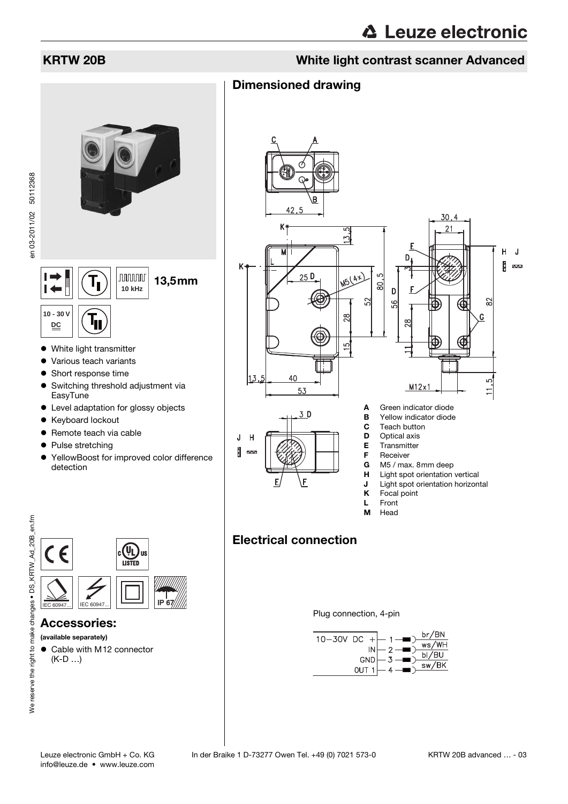en 03-2011/02 50112368

en 03-2011/02 50112368

### KRTW 20B White light contrast scanner Advanced

## Dimensioned drawing



- Short response time
- Switching threshold adjustment via EasyTune
- Level adaptation for glossy objects
- Keyboard lockout
- Remote teach via cable
- Pulse stretching
- YellowBoost for improved color difference detection



#### Accessories:

#### (available separately)

● Cable with M12 connector (K-D …)







- Transmitter
- **F** Receiver
- M5 / max. 8mm deep
- **H** Light spot orientation vertical
- **J** Light spot orientation horizontal<br>**K** Focal point
	- Focal point
- L Front M Head

# Electrical connection

Plug connection, 4-pin

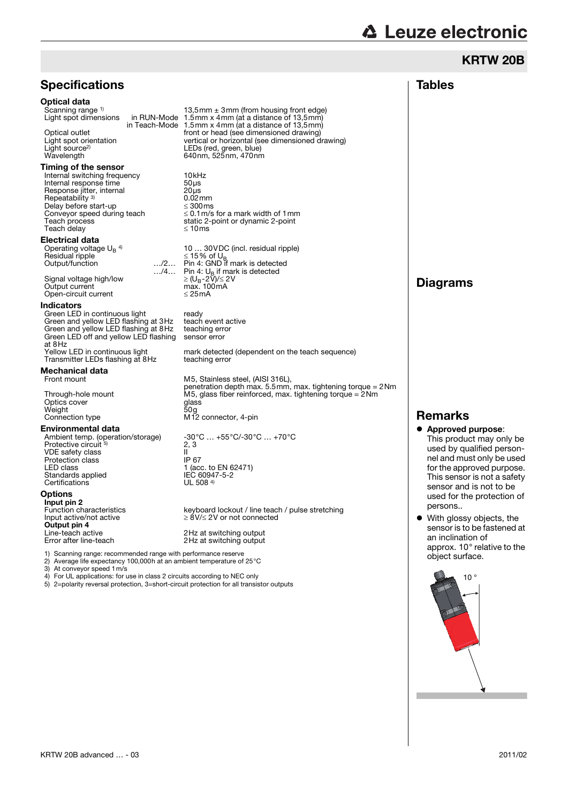## KRTW 20B

| <b>Specifications</b>                                                                                                                                                                                                                                                                                                                |                                                                                                                                                                                                                                                                                                                                   | <b>Tables</b>                                                                                                                                                                                                 |
|--------------------------------------------------------------------------------------------------------------------------------------------------------------------------------------------------------------------------------------------------------------------------------------------------------------------------------------|-----------------------------------------------------------------------------------------------------------------------------------------------------------------------------------------------------------------------------------------------------------------------------------------------------------------------------------|---------------------------------------------------------------------------------------------------------------------------------------------------------------------------------------------------------------|
| <b>Optical data</b><br>Scanning range 1)<br>Light spot dimensions<br>Optical outlet<br>Light spot orientation<br>Light source <sup>2)</sup><br>Wavelength                                                                                                                                                                            | 13,5mm $\pm$ 3mm (from housing front edge)<br>in RUN-Mode 1.5mm x 4mm (at a distance of 13,5mm)<br>in Teach-Mode 1.5mm x 4mm (at a distance of 13,5mm)<br>front or head (see dimensioned drawing)<br>vertical or horizontal (see dimensioned drawing)<br>LEDs (red, green, blue)<br>640nm, 525nm, 470nm                           |                                                                                                                                                                                                               |
| Timing of the sensor<br>Internal switching frequency<br>Internal response time<br>Response jitter, internal<br>Repeatability <sup>3)</sup><br>Delay before start-up<br>Conveyor speed during teach<br>Teach process<br>Teach delay<br>Electrical data<br>Operating voltage $U_R$ <sup>4)</sup><br>Residual ripple<br>Output/function | 10 <sub>kHz</sub><br>$50\,\mu s$<br>$20µ$ s<br>$0.02 \,\mathrm{mm}$<br>$\leq 300$ ms<br>$\leq$ 0.1 m/s for a mark width of 1 mm<br>static 2-point or dynamic 2-point<br>$\leq 10$ ms<br>10  30 VDC (incl. residual ripple)<br>≤ 15% of U <sub>B</sub><br>/2 Pin 4: GND if mark is detected<br>/4 Pin 4: $U_B$ if mark is detected |                                                                                                                                                                                                               |
| Signal voltage high/low<br>Output current<br>Open-circuit current                                                                                                                                                                                                                                                                    | $\geq (U_B - 2\sqrt{V}) \leq 2V$<br>max. 100mA<br>$\leq$ 25 mA                                                                                                                                                                                                                                                                    | <b>Diagrams</b>                                                                                                                                                                                               |
| Indicators<br>Green LED in continuous light<br>Green and yellow LED flashing at 3Hz<br>Green and yellow LED flashing at 8Hz<br>Green LED off and yellow LED flashing<br>at 8Hz<br>Yellow LED in continuous light<br>Transmitter LEDs flashing at 8Hz                                                                                 | ready<br>teach event active<br>teaching error<br>sensor error<br>mark detected (dependent on the teach sequence)<br>teaching error                                                                                                                                                                                                |                                                                                                                                                                                                               |
| Mechanical data<br>Front mount<br>Through-hole mount<br>Optics cover<br>Weight                                                                                                                                                                                                                                                       | M5, Stainless steel, (AISI 316L),<br>penetration depth max. 5.5mm, max. tightening torque = 2Nm<br>M5, glass fiber reinforced, max. tightening torque = $2Nm$<br>glass<br>50g                                                                                                                                                     |                                                                                                                                                                                                               |
| Connection type                                                                                                                                                                                                                                                                                                                      | M <sub>12</sub> connector, 4-pin                                                                                                                                                                                                                                                                                                  | <b>Remarks</b>                                                                                                                                                                                                |
| Environmental data<br>Ambient temp. (operation/storage)<br>Protective circuit 5)<br><b>VDE</b> safety class<br>Protection class<br>LED class<br>Standards applied<br>Certifications                                                                                                                                                  | -30 °C  +55 °C/-30 °C  +70 °C<br>2, 3<br>$\mathbf{II}$<br>IP 67<br>1 (acc. to EN 62471)<br>IEC 60947-5-2<br>UL 508 4)                                                                                                                                                                                                             | • Approved purpose:<br>This product may only be<br>used by qualified person-<br>nel and must only be used<br>for the approved purpose.<br>This sensor is not a safety                                         |
| <b>Options</b><br>Input pin 2<br><b>Function characteristics</b><br>Input active/not active<br>Output pin 4<br>Line-teach active<br>Error after line-teach<br>1) Scanning range: recommended range with performance reserve<br>2) Average life expectancy 100,000h at an ambient temperature of 25°C                                 | keyboard lockout / line teach / pulse stretching<br>$\geq$ 8V/ $\leq$ 2V or not connected<br>2Hz at switching output<br>2Hz at switching output                                                                                                                                                                                   | sensor and is not to be<br>used for the protection of<br>persons<br>• With glossy objects, the<br>sensor is to be fastened at<br>an inclination of<br>approx. $10^{\circ}$ relative to the<br>object surface. |



2) Average life expectancy 100,000h at an ambient temperature of 25°C 3) At conveyor speed 1m/s 4) For UL applications: for use in class 2 circuits according to NEC only

5) 2=polarity reversal protection, 3=short-circuit protection for all transistor outputs

10 °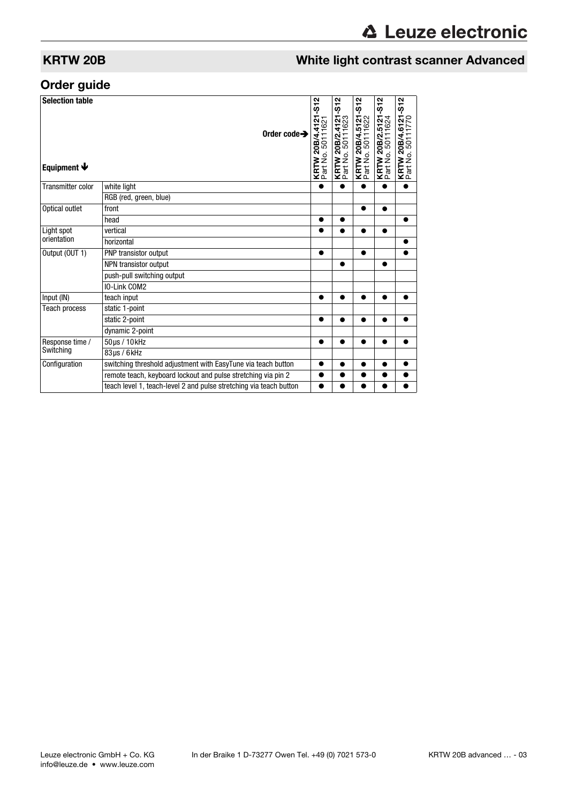# KRTW 20B White light contrast scanner Advanced

# Order guide

| <b>Selection table</b><br>Equipment $\blacklozenge$ | Order code $\rightarrow$                                           | -S12<br>21<br>1621<br>4<br>5011<br>20B/4<br>KRTW 2<br>Part No. | -S12<br><b>KRTW 20B/2.4121</b><br>Part No. 50111623 | -S12<br><b>KRTW 20B/4.5121</b><br>Part No. 50111622 | -S12<br>KRTW 20B/2.5121<br>Part No. 50111624 | $-512$<br>KRTW 20B/4.6121<br>Part No. 50111770 |
|-----------------------------------------------------|--------------------------------------------------------------------|----------------------------------------------------------------|-----------------------------------------------------|-----------------------------------------------------|----------------------------------------------|------------------------------------------------|
| <b>Transmitter color</b>                            | white light                                                        |                                                                |                                                     |                                                     |                                              |                                                |
|                                                     | RGB (red, green, blue)                                             |                                                                |                                                     |                                                     |                                              |                                                |
| Optical outlet                                      | front                                                              |                                                                |                                                     | ●                                                   | $\bullet$                                    |                                                |
|                                                     | head                                                               |                                                                |                                                     |                                                     |                                              |                                                |
| Light spot<br>orientation                           | vertical                                                           |                                                                | ●                                                   |                                                     |                                              |                                                |
|                                                     | horizontal                                                         |                                                                |                                                     |                                                     |                                              |                                                |
| Output (OUT 1)                                      | PNP transistor output                                              |                                                                |                                                     |                                                     |                                              |                                                |
|                                                     | NPN transistor output                                              |                                                                |                                                     |                                                     |                                              |                                                |
|                                                     | push-pull switching output                                         |                                                                |                                                     |                                                     |                                              |                                                |
|                                                     | IO-Link COM2                                                       |                                                                |                                                     |                                                     |                                              |                                                |
| Input (IN)                                          | teach input                                                        | ●                                                              |                                                     |                                                     |                                              |                                                |
| <b>Teach process</b>                                | static 1-point                                                     |                                                                |                                                     |                                                     |                                              |                                                |
|                                                     | static 2-point                                                     |                                                                |                                                     |                                                     |                                              |                                                |
|                                                     | dynamic 2-point                                                    |                                                                |                                                     |                                                     |                                              |                                                |
| Response time /<br>Switching                        | 50µs / 10kHz                                                       | ●                                                              | ●                                                   | ●                                                   |                                              |                                                |
|                                                     | $83\mu s / 6kHz$                                                   |                                                                |                                                     |                                                     |                                              |                                                |
| Configuration                                       | switching threshold adjustment with EasyTune via teach button      |                                                                |                                                     |                                                     |                                              |                                                |
|                                                     | remote teach, keyboard lockout and pulse stretching via pin 2      |                                                                |                                                     |                                                     |                                              |                                                |
|                                                     | teach level 1, teach-level 2 and pulse stretching via teach button |                                                                |                                                     |                                                     |                                              |                                                |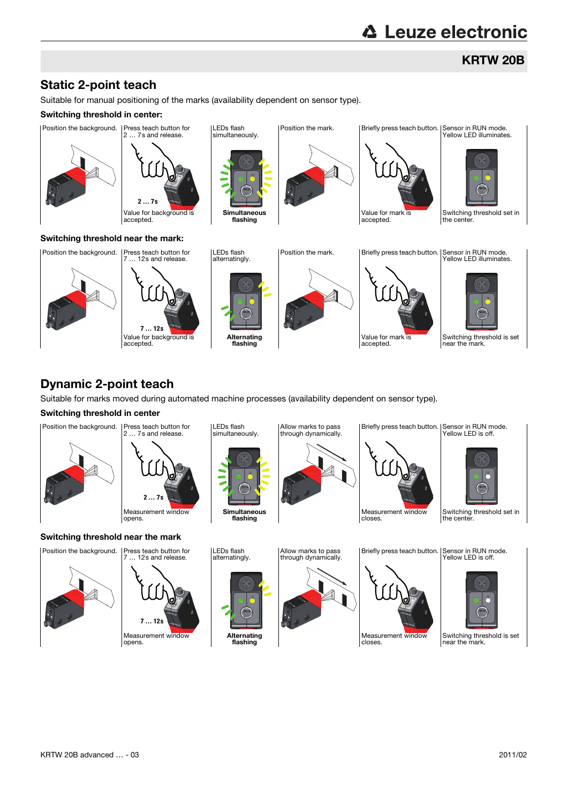# KRTW 20B

## Static 2-point teach

Suitable for manual positioning of the marks (availability dependent on sensor type).

Switching threshold in center:



# Dynamic 2-point teach

Suitable for marks moved during automated machine processes (availability dependent on sensor type).

#### Switching threshold in center











Measurement window closes.

Briefly press teach button. Sensor in RUN mode.<br>Yellow LED is off.



Switching threshold is set near the mark.







Value for mark is accepted.

Switching threshold is set near the mark.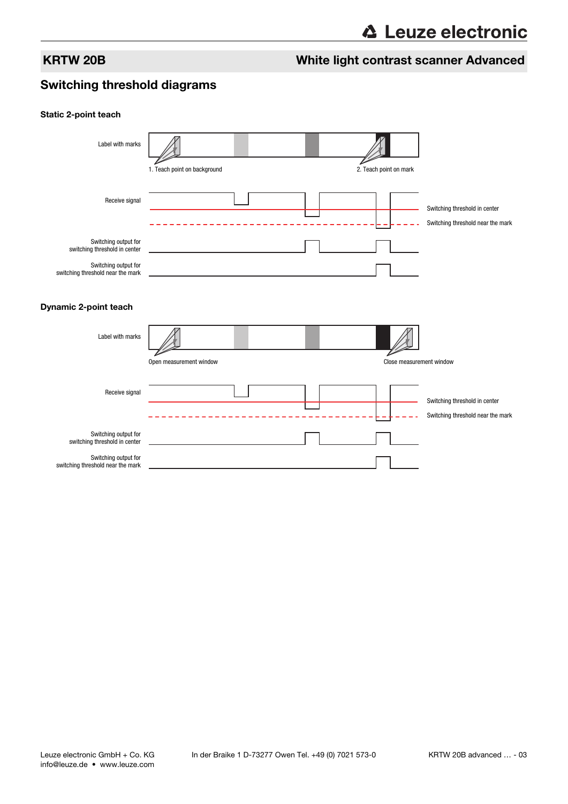## KRTW 20B White light contrast scanner Advanced

### Switching threshold diagrams

#### Static 2-point teach

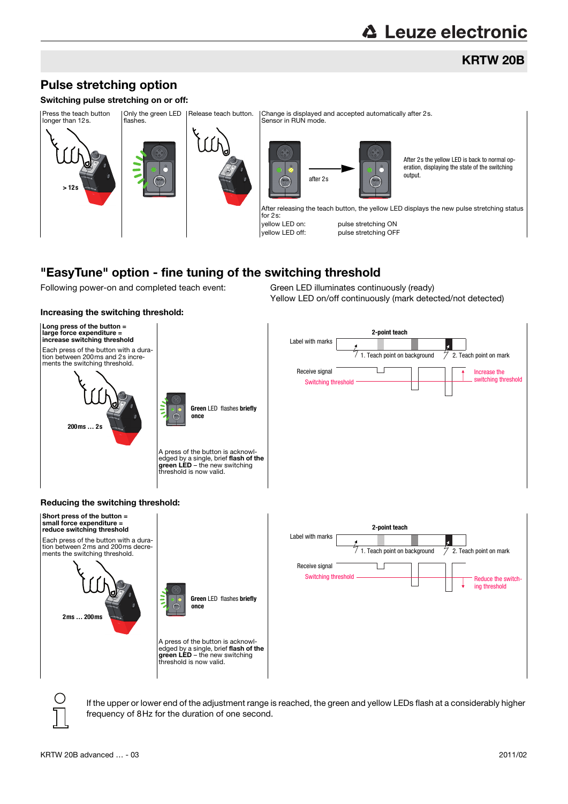# KRTW 20B

# Pulse stretching option

#### Switching pulse stretching on or off:



## "EasyTune" option - fine tuning of the switching threshold

Following power-on and completed teach event: Green LED illuminates continuously (ready)

Increasing the switching threshold:

Yellow LED on/off continuously (mark detected/not detected)

#### Long press of the button = large force expenditure = **2-point teach** increase switching threshold Label with marks Each press of the button with a dura- $7$  1. Teach point on background  $\quad$   $7\,$  2. Teach point on mark tion between 200ms and 2s increments the switching threshold. Receive signal T Increase the switching threshold Switching threshold **Green** LED flashes **briefly once 200ms … 2s** A press of the button is acknowledged by a single, brief **flash of the**<br>**green LED** – the new switching threshold is now valid. Reducing the switching threshold: Short press of the button = small force expenditure = reduce switching threshold **2-point teach** Label with marks Each press of the button with a duration between 2ms and 200ms decre- $\overline{7}$  1. Teach point on background  $\overline{7}$  2. Teach point on mark ments the switching threshold. Receive signal ו ר Switching threshold **Reduce the switch-**<br>Reduce the switching threshold **Green** LED flashes **briefly once 2ms … 200ms** A press of the button is acknowledged by a single, brief flash of the **green LED** – the new switching<br>threshold is now valid.

If the upper or lower end of the adjustment range is reached, the green and yellow LEDs flash at a considerably higher frequency of 8Hz for the duration of one second.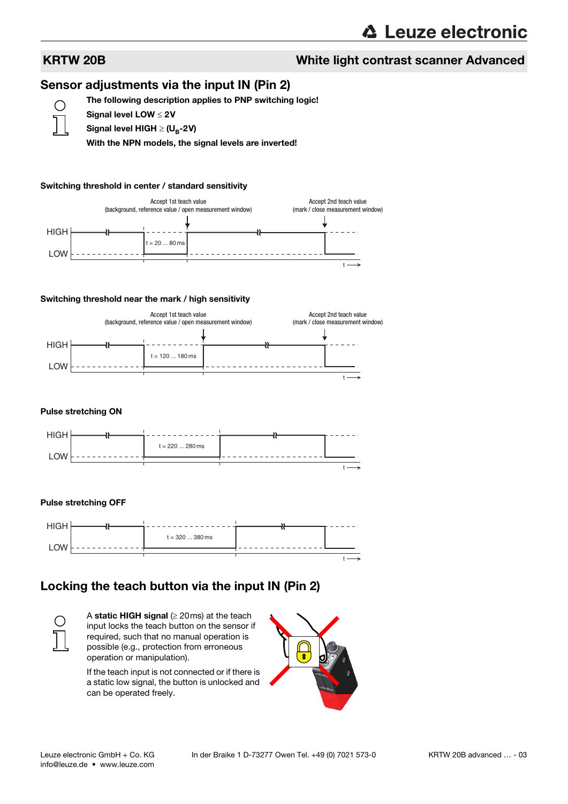### KRTW 20B White light contrast scanner Advanced

#### Sensor adjustments via the input IN (Pin 2)



The following description applies to PNP switching logic! Signal level  $LOW \leq 2V$ 

Signal level HIGH  $\geq$  (U<sub>B</sub>-2V)

With the NPN models, the signal levels are inverted!

#### Switching threshold in center / standard sensitivity



#### Switching threshold near the mark / high sensitivity



#### Pulse stretching ON



#### Pulse stretching OFF



## Locking the teach button via the input IN (Pin 2)



A static HIGH signal  $( \geq 20 \,\text{ms})$  at the teach input locks the teach button on the sensor if required, such that no manual operation is possible (e.g., protection from erroneous operation or manipulation).

If the teach input is not connected or if there is a static low signal, the button is unlocked and can be operated freely.